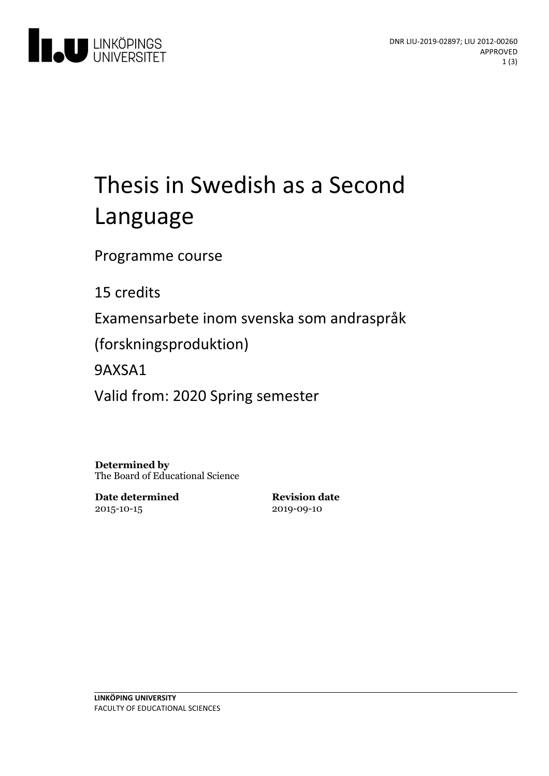

# Thesis in Swedish as a Second Language

Programme course

15 credits

Examensarbete inom svenska som andraspråk

(forskningsproduktion)

9AXSA1

Valid from: 2020 Spring semester

**Determined by** The Board of Educational Science

**Date determined** 2015-10-15

**Revision date** 2019-09-10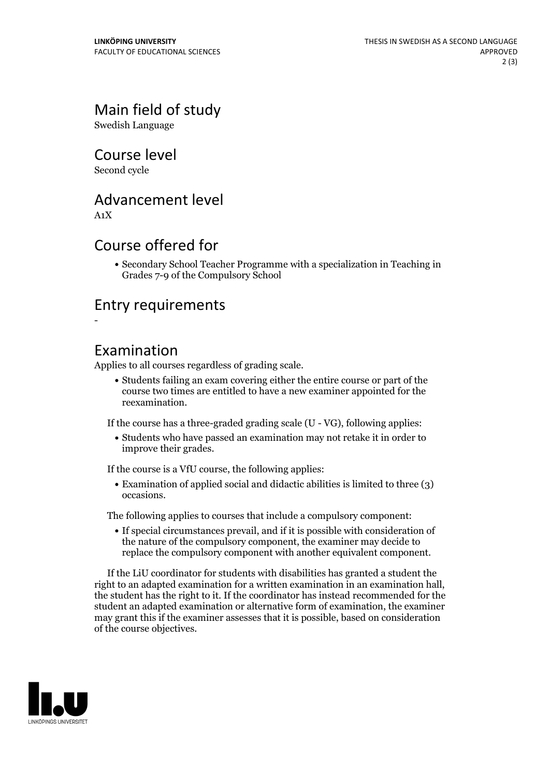# Main field of study

Swedish Language

#### Course level

Second cycle

### Advancement level

A1X

-

#### Course offered for

Secondary School Teacher Programme with a specialization in Teaching in Grades 7-9 of the Compulsory School

### Entry requirements

#### Examination

Applies to all courses regardless of grading scale.

Students failing an exam covering either the entire course or part of the course two times are entitled to have a new examiner appointed for the reexamination.

If the course has a three-graded grading scale (U - VG), following applies:

Students who have passed an examination may not retake it in order to improve their grades.

If the course is a VfU course, the following applies:

• Examination of applied social and didactic abilities is limited to three (3) occasions.

The following applies to courses that include a compulsory component:

If special circumstances prevail, and if it is possible with consideration of the nature of the compulsory component, the examiner may decide to replace the compulsory component with another equivalent component.

If the LiU coordinator for students with disabilities has granted a student the right to an adapted examination for <sup>a</sup> written examination in an examination hall, the student has the right to it. If the coordinator has instead recommended for the student an adapted examination or alternative form of examination, the examiner may grant this if the examiner assesses that it is possible, based on consideration of the course objectives.